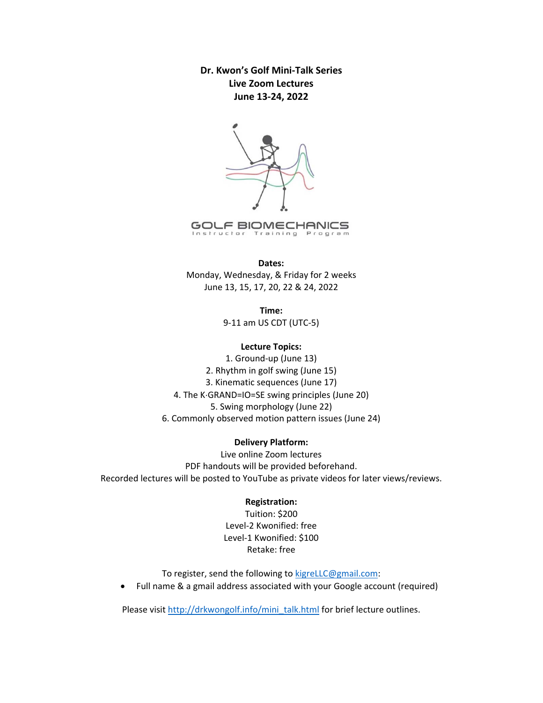**Dr. Kwon's Golf Mini‐Talk Series Live Zoom Lectures June 13‐24, 2022** 



Instructor Training Program

#### **Dates:**

Monday, Wednesday, & Friday for 2 weeks June 13, 15, 17, 20, 22 & 24, 2022

> **Time:**  9‐11 am US CDT (UTC‐5)

### **Lecture Topics:**

1. Ground‐up (June 13) 2. Rhythm in golf swing (June 15) 3. Kinematic sequences (June 17) 4. The K·GRAND=IO=SE swing principles (June 20) 5. Swing morphology (June 22) 6. Commonly observed motion pattern issues (June 24)

#### **Delivery Platform:**

Live online Zoom lectures PDF handouts will be provided beforehand. Recorded lectures will be posted to YouTube as private videos for later views/reviews.

#### **Registration:**

Tuition: \$200 Level‐2 Kwonified: free Level‐1 Kwonified: \$100 Retake: free

To register, send the following to kigreLLC@gmail.com:

Full name & a gmail address associated with your Google account (required)

Please visit http://drkwongolf.info/mini\_talk.html for brief lecture outlines.